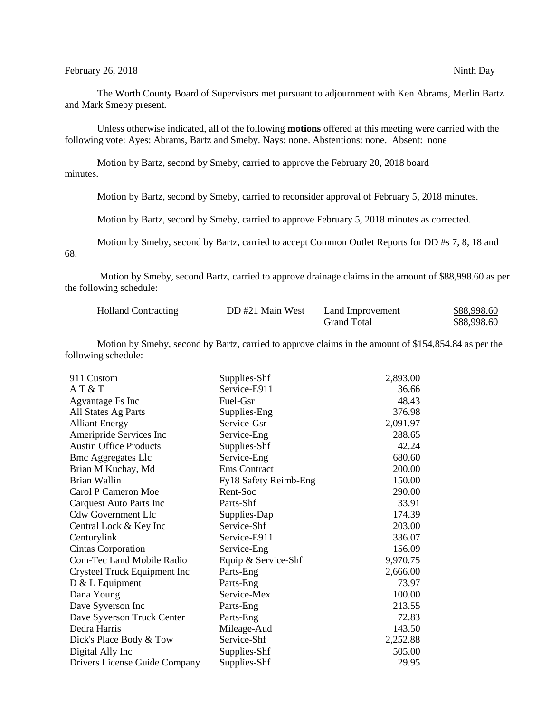The Worth County Board of Supervisors met pursuant to adjournment with Ken Abrams, Merlin Bartz and Mark Smeby present.

Unless otherwise indicated, all of the following **motions** offered at this meeting were carried with the following vote: Ayes: Abrams, Bartz and Smeby. Nays: none. Abstentions: none. Absent: none

Motion by Bartz, second by Smeby, carried to approve the February 20, 2018 board minutes.

Motion by Bartz, second by Smeby, carried to reconsider approval of February 5, 2018 minutes.

Motion by Bartz, second by Smeby, carried to approve February 5, 2018 minutes as corrected.

Motion by Smeby, second by Bartz, carried to accept Common Outlet Reports for DD #s 7, 8, 18 and 68.

Motion by Smeby, second Bartz, carried to approve drainage claims in the amount of \$88,998.60 as per the following schedule:

| <b>Holland Contracting</b> | DD #21 Main West | Land Improvement   | \$88,998.60 |
|----------------------------|------------------|--------------------|-------------|
|                            |                  | <b>Grand Total</b> | \$88,998.60 |

Motion by Smeby, second by Bartz, carried to approve claims in the amount of \$154,854.84 as per the following schedule:

| 911 Custom                       | Supplies-Shf          | 2,893.00 |
|----------------------------------|-----------------------|----------|
| AT & T                           | Service-E911          | 36.66    |
| Agvantage Fs Inc                 | Fuel-Gsr              | 48.43    |
| All States Ag Parts              | Supplies-Eng          | 376.98   |
| <b>Alliant Energy</b>            | Service-Gsr           | 2,091.97 |
| Ameripride Services Inc          | Service-Eng           | 288.65   |
| <b>Austin Office Products</b>    | Supplies-Shf          | 42.24    |
| <b>Bmc Aggregates Llc</b>        | Service-Eng           | 680.60   |
| Brian M Kuchay, Md               | Ems Contract          | 200.00   |
| Brian Wallin                     | Fy18 Safety Reimb-Eng | 150.00   |
| Carol P Cameron Moe              | Rent-Soc              | 290.00   |
| Carquest Auto Parts Inc          | Parts-Shf             | 33.91    |
| <b>Cdw Government Llc</b>        | Supplies-Dap          | 174.39   |
| Central Lock & Key Inc           | Service-Shf           | 203.00   |
| Centurylink                      | Service-E911          | 336.07   |
| Cintas Corporation               | Service-Eng           | 156.09   |
| <b>Com-Tec Land Mobile Radio</b> | Equip & Service-Shf   | 9,970.75 |
| Crysteel Truck Equipment Inc     | Parts-Eng             | 2,666.00 |
| $D & L$ Equipment                | Parts-Eng             | 73.97    |
| Dana Young                       | Service-Mex           | 100.00   |
| Dave Syverson Inc                | Parts-Eng             | 213.55   |
| Dave Syverson Truck Center       | Parts-Eng             | 72.83    |
| Dedra Harris                     | Mileage-Aud           | 143.50   |
| Dick's Place Body & Tow          | Service-Shf           | 2,252.88 |
| Digital Ally Inc                 | Supplies-Shf          | 505.00   |
| Drivers License Guide Company    | Supplies-Shf          | 29.95    |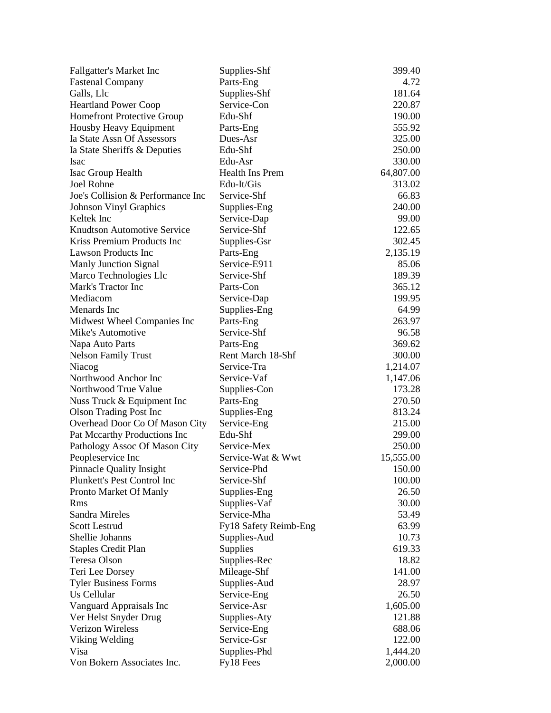| Fallgatter's Market Inc                    | Supplies-Shf          | 399.40          |
|--------------------------------------------|-----------------------|-----------------|
| <b>Fastenal Company</b>                    | Parts-Eng             | 4.72            |
| Galls, Llc                                 | Supplies-Shf          | 181.64          |
| <b>Heartland Power Coop</b>                | Service-Con           | 220.87          |
| <b>Homefront Protective Group</b>          | Edu-Shf               | 190.00          |
| Housby Heavy Equipment                     | Parts-Eng             | 555.92          |
| Ia State Assn Of Assessors                 | Dues-Asr              | 325.00          |
| Ia State Sheriffs & Deputies               | Edu-Shf               | 250.00          |
| <b>Isac</b>                                | Edu-Asr               | 330.00          |
| Isac Group Health                          | Health Ins Prem       | 64,807.00       |
| Joel Rohne                                 | Edu-It/Gis            | 313.02          |
| Joe's Collision & Performance Inc          | Service-Shf           | 66.83           |
| <b>Johnson Vinyl Graphics</b>              | Supplies-Eng          | 240.00          |
| Keltek Inc                                 | Service-Dap           | 99.00           |
| <b>Knudtson Automotive Service</b>         | Service-Shf           | 122.65          |
| Kriss Premium Products Inc                 | Supplies-Gsr          | 302.45          |
| <b>Lawson Products Inc</b>                 | Parts-Eng             | 2,135.19        |
| <b>Manly Junction Signal</b>               | Service-E911          | 85.06           |
| Marco Technologies Llc                     | Service-Shf           | 189.39          |
| Mark's Tractor Inc                         | Parts-Con             | 365.12          |
| Mediacom                                   | Service-Dap           | 199.95          |
| Menards Inc                                | Supplies-Eng          | 64.99           |
| Midwest Wheel Companies Inc                | Parts-Eng             | 263.97          |
| Mike's Automotive                          | Service-Shf           | 96.58           |
| Napa Auto Parts                            | Parts-Eng             | 369.62          |
| <b>Nelson Family Trust</b>                 | Rent March 18-Shf     | 300.00          |
| Niacog                                     | Service-Tra           | 1,214.07        |
| Northwood Anchor Inc                       | Service-Vaf           | 1,147.06        |
| Northwood True Value                       | Supplies-Con          | 173.28          |
| Nuss Truck & Equipment Inc                 | Parts-Eng             | 270.50          |
| <b>Olson Trading Post Inc</b>              | Supplies-Eng          | 813.24          |
| Overhead Door Co Of Mason City             | Service-Eng           | 215.00          |
| Pat Mccarthy Productions Inc               | Edu-Shf               | 299.00          |
| Pathology Assoc Of Mason City              | Service-Mex           | 250.00          |
| Peopleservice Inc                          | Service-Wat & Wwt     | 15,555.00       |
| Pinnacle Quality Insight                   | Service-Phd           | 150.00          |
| Plunkett's Pest Control Inc                | Service-Shf           | 100.00          |
| Pronto Market Of Manly                     | Supplies-Eng          | 26.50           |
| <b>Rms</b>                                 | Supplies-Vaf          | 30.00           |
| <b>Sandra Mireles</b>                      | Service-Mha           | 53.49           |
| <b>Scott Lestrud</b>                       |                       | 63.99           |
| Shellie Johanns                            | Fy18 Safety Reimb-Eng |                 |
|                                            | Supplies-Aud          | 10.73<br>619.33 |
| <b>Staples Credit Plan</b><br>Teresa Olson | Supplies              | 18.82           |
|                                            | Supplies-Rec          |                 |
| Teri Lee Dorsey                            | Mileage-Shf           | 141.00          |
| <b>Tyler Business Forms</b><br>Us Cellular | Supplies-Aud          | 28.97           |
|                                            | Service-Eng           | 26.50           |
| Vanguard Appraisals Inc                    | Service-Asr           | 1,605.00        |
| Ver Helst Snyder Drug                      | Supplies-Aty          | 121.88          |
| <b>Verizon Wireless</b>                    | Service-Eng           | 688.06          |
| Viking Welding                             | Service-Gsr           | 122.00          |
| Visa                                       | Supplies-Phd          | 1,444.20        |
| Von Bokern Associates Inc.                 | Fy18 Fees             | 2,000.00        |